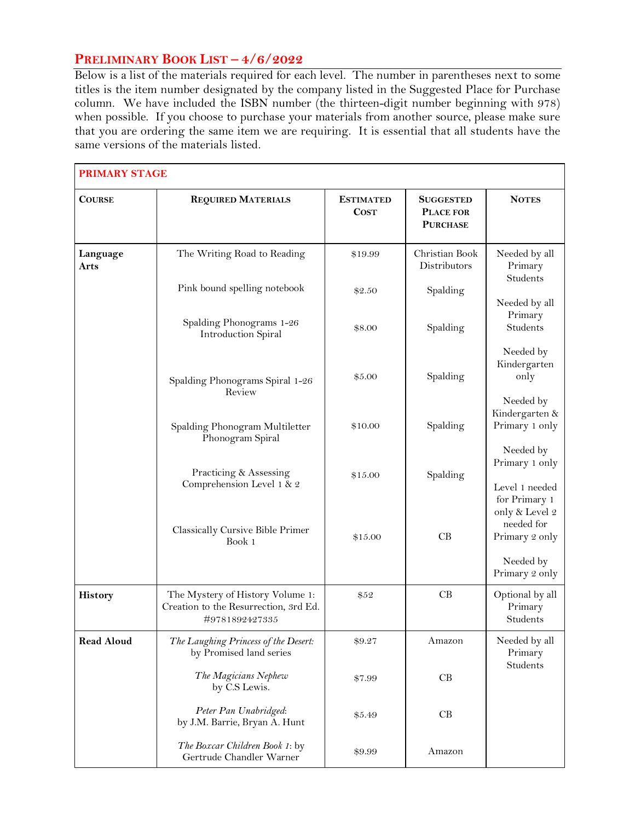## **PRELIMINARY BOOK LIST – 4/6/2022**

Below is a list of the materials required for each level. The number in parentheses next to some titles is the item number designated by the company listed in the Suggested Place for Purchase column. We have included the ISBN number (the thirteen-digit number beginning with 978) when possible. If you choose to purchase your materials from another source, please make sure that you are ordering the same item we are requiring. It is essential that all students have the same versions of the materials listed.

| <b>PRIMARY STAGE</b>    |                                                                                             |                                 |                                                  |                                                                              |
|-------------------------|---------------------------------------------------------------------------------------------|---------------------------------|--------------------------------------------------|------------------------------------------------------------------------------|
| <b>COURSE</b>           | <b>REQUIRED MATERIALS</b>                                                                   | <b>ESTIMATED</b><br><b>COST</b> | <b>SUGGESTED</b><br>PLACE FOR<br><b>PURCHASE</b> | <b>NOTES</b>                                                                 |
| Language<br><b>Arts</b> | The Writing Road to Reading                                                                 | \$19.99                         | Christian Book<br>Distributors                   | Needed by all<br>Primary<br>Students                                         |
|                         | Pink bound spelling notebook                                                                | \$2.50                          | Spalding                                         | Needed by all                                                                |
|                         | Spalding Phonograms 1-26<br><b>Introduction Spiral</b>                                      | \$8.00                          | Spalding                                         | Primary<br>Students                                                          |
|                         | Spalding Phonograms Spiral 1-26<br>Review                                                   | \$5.00                          | Spalding                                         | Needed by<br>Kindergarten<br>only                                            |
|                         | Spalding Phonogram Multiletter<br>Phonogram Spiral                                          | \$10.00                         | Spalding                                         | Needed by<br>Kindergarten &<br>Primary 1 only                                |
|                         | Practicing & Assessing<br>Comprehension Level 1 & 2                                         | \$15.00                         | Spalding                                         | Needed by<br>Primary 1 only<br>Level 1 needed                                |
|                         | Classically Cursive Bible Primer<br>Book 1                                                  | \$15.00                         | CB                                               | for Primary 1<br>only & Level 2<br>needed for<br>Primary 2 only<br>Needed by |
|                         |                                                                                             |                                 |                                                  | Primary 2 only                                                               |
| <b>History</b>          | The Mystery of History Volume 1:<br>Creation to the Resurrection, 3rd Ed.<br>#9781892427335 | \$52                            | CB                                               | Optional by all<br>Primary<br>Students                                       |
| <b>Read Aloud</b>       | The Laughing Princess of the Desert:<br>by Promised land series                             | \$9.27                          | Amazon                                           | Needed by all<br>Primary                                                     |
|                         | The Magicians Nephew<br>by C.S Lewis.                                                       | \$7.99                          | CB                                               | Students                                                                     |
|                         | Peter Pan Unabridged:<br>by J.M. Barrie, Bryan A. Hunt                                      | \$5.49                          | CB                                               |                                                                              |
|                         | The Boxcar Children Book 1: by<br>Gertrude Chandler Warner                                  | \$9.99                          | Amazon                                           |                                                                              |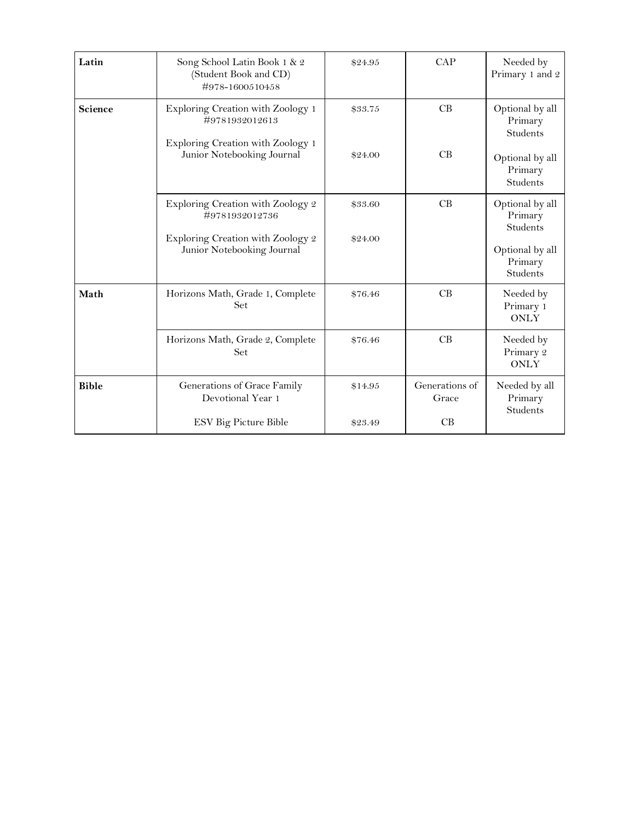| Latin        | Song School Latin Book 1 & 2<br>(Student Book and CD)<br>#978-1600510458 | \$24.95 | CAP                     | Needed by<br>Primary 1 and 2                  |
|--------------|--------------------------------------------------------------------------|---------|-------------------------|-----------------------------------------------|
| Science      | Exploring Creation with Zoology 1<br>#9781932012613                      | \$33.75 | CB                      | Optional by all<br>Primary<br>Students        |
|              | Exploring Creation with Zoology 1<br>Junior Notebooking Journal          | \$24.00 | CB                      | Optional by all<br>Primary<br>Students        |
|              | Exploring Creation with Zoology 2<br>#9781932012736                      | \$33.60 | CB                      | Optional by all<br>Primary<br>Students        |
|              | Exploring Creation with Zoology 2<br>Junior Notebooking Journal          | \$24.00 |                         | Optional by all<br>Primary<br><b>Students</b> |
| Math         | Horizons Math, Grade 1, Complete<br>Set                                  | \$76.46 | CB                      | Needed by<br>Primary 1<br><b>ONLY</b>         |
|              | Horizons Math, Grade 2, Complete<br>Set                                  | \$76.46 | CB                      | Needed by<br>Primary 2<br><b>ONLY</b>         |
| <b>Bible</b> | Generations of Grace Family<br>Devotional Year 1                         | \$14.95 | Generations of<br>Grace | Needed by all<br>Primary<br>Students          |
|              | ESV Big Picture Bible                                                    | \$23.49 | CB                      |                                               |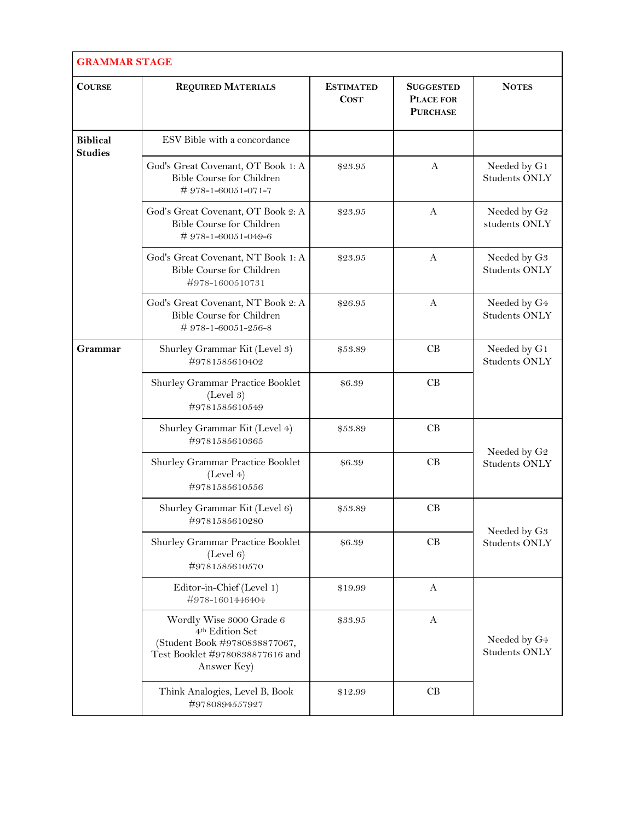| <b>GRAMMAR STAGE</b>              |                                                                                                                                            |                                 |                                                         |                                                  |
|-----------------------------------|--------------------------------------------------------------------------------------------------------------------------------------------|---------------------------------|---------------------------------------------------------|--------------------------------------------------|
| <b>COURSE</b>                     | <b>REQUIRED MATERIALS</b>                                                                                                                  | <b>ESTIMATED</b><br><b>COST</b> | <b>SUGGESTED</b><br><b>PLACE FOR</b><br><b>PURCHASE</b> | <b>NOTES</b>                                     |
| <b>Biblical</b><br><b>Studies</b> | ESV Bible with a concordance                                                                                                               |                                 |                                                         |                                                  |
|                                   | God's Great Covenant, OT Book 1: A<br>Bible Course for Children<br>#978-1-60051-071-7                                                      | \$23.95                         | A                                                       | Needed by G1<br><b>Students ONLY</b>             |
|                                   | God's Great Covenant, OT Book 2: A<br>Bible Course for Children<br>#978-1-60051-049-6                                                      | \$23.95                         | A                                                       | Needed by ${\rm G2}$<br>students ONLY            |
|                                   | God's Great Covenant, NT Book 1: A<br>Bible Course for Children<br>#978-1600510731                                                         | \$23.95                         | $\mathbf{A}$                                            | Needed by G <sub>3</sub><br><b>Students ONLY</b> |
|                                   | God's Great Covenant, NT Book 2: A<br>Bible Course for Children<br>#978-1-60051-256-8                                                      | \$26.95                         | $\mathbf{A}$                                            | Needed by G4<br><b>Students ONLY</b>             |
| Grammar                           | Shurley Grammar Kit (Level 3)<br>#9781585610402                                                                                            | \$53.89                         | CB                                                      | Needed by G1<br><b>Students ONLY</b>             |
|                                   | Shurley Grammar Practice Booklet<br>(Level 3)<br>#9781585610549                                                                            | \$6.39                          | CB                                                      |                                                  |
|                                   | Shurley Grammar Kit (Level 4)<br>#9781585610365                                                                                            | \$53.89                         | CB                                                      | Needed by G <sub>2</sub><br><b>Students ONLY</b> |
|                                   | Shurley Grammar Practice Booklet<br>(Level 4)<br>#9781585610556                                                                            | \$6.39                          | CB                                                      |                                                  |
|                                   | Shurley Grammar Kit (Level 6)<br>#9781585610280                                                                                            | \$53.89                         | CB                                                      |                                                  |
|                                   | Shurley Grammar Practice Booklet<br>(Level 6)<br>#9781585610570                                                                            | \$6.39                          | CB                                                      | Needed by G <sub>3</sub><br><b>Students ONLY</b> |
|                                   | Editor-in-Chief (Level 1)<br>#978-1601446404                                                                                               | \$19.99                         | $\mathbf{A}$                                            |                                                  |
|                                   | Wordly Wise 3000 Grade 6<br>4 <sup>th</sup> Edition Set<br>(Student Book #9780838877067,<br>Test Booklet #9780838877616 and<br>Answer Key) | \$33.95                         | A                                                       | Needed by G4<br><b>Students ONLY</b>             |
|                                   | Think Analogies, Level B, Book<br>#9780894557927                                                                                           | \$12.99                         | CB                                                      |                                                  |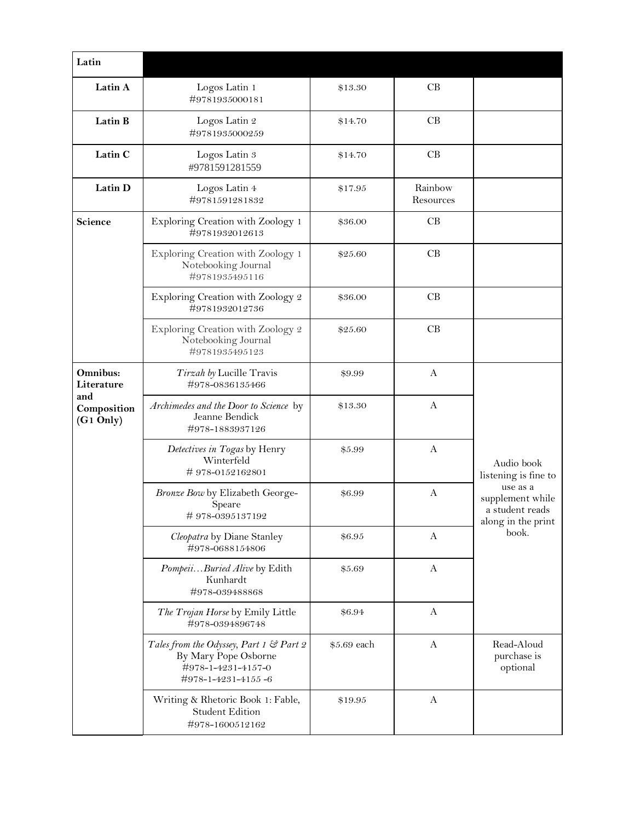| Latin                                |                                                                                                             |             |                      |                                                                                                             |
|--------------------------------------|-------------------------------------------------------------------------------------------------------------|-------------|----------------------|-------------------------------------------------------------------------------------------------------------|
| Latin A                              | Logos Latin 1<br>#9781935000181                                                                             | \$13.30     | CB                   |                                                                                                             |
| Latin B                              | Logos Latin 2<br>#9781935000259                                                                             | \$14.70     | CB                   |                                                                                                             |
| Latin C                              | Logos Latin 3<br>#9781591281559                                                                             | \$14.70     | CB                   |                                                                                                             |
| Latin D                              | Logos Latin 4<br>#9781591281832                                                                             | \$17.95     | Rainbow<br>Resources |                                                                                                             |
| Science                              | Exploring Creation with Zoology 1<br>#9781932012613                                                         | \$36.00     | CB                   |                                                                                                             |
|                                      | Exploring Creation with Zoology 1<br>Notebooking Journal<br>#9781935495116                                  | \$25.60     | CB                   |                                                                                                             |
|                                      | Exploring Creation with Zoology 2<br>#9781932012736                                                         | \$36.00     | CB                   |                                                                                                             |
|                                      | Exploring Creation with Zoology 2<br>Notebooking Journal<br>#9781935495123                                  | \$25.60     | CB                   |                                                                                                             |
| Omnibus:<br>Literature               | Tirzah by Lucille Travis<br>#978-0836135466                                                                 | \$9.99      | A                    |                                                                                                             |
| and<br>Composition<br>$(G1$ Only $)$ | Archimedes and the Door to Science by<br>Jeanne Bendick<br>#978-1883937126                                  | \$13.30     | A                    | Audio book<br>listening is fine to<br>use as a<br>supplement while<br>a student reads<br>along in the print |
|                                      | Detectives in Togas by Henry<br>Winterfeld<br>#978-0152162801                                               | \$5.99      | A                    |                                                                                                             |
|                                      | Bronze Bow by Elizabeth George-<br><b>Speare</b><br>#978-0395137192                                         | \$6.99      | A                    |                                                                                                             |
|                                      | Cleopatra by Diane Stanley<br>#978-0688154806                                                               | \$6.95      | $\mathbf{A}$         | book.                                                                                                       |
|                                      | PompeiiBuried Alive by Edith<br>Kunhardt<br>#978-039488868                                                  | \$5.69      | A                    |                                                                                                             |
|                                      | The Trojan Horse by Emily Little<br>#978-0394896748                                                         | \$6.94      | A                    |                                                                                                             |
|                                      | Tales from the Odyssey, Part 1 & Part 2<br>By Mary Pope Osborne<br>#978-1-4231-4157-0<br>#978-1-4231-4155-6 | \$5.69 each | $\mathbf{A}$         | Read-Aloud<br>purchase is<br>optional                                                                       |
|                                      | Writing & Rhetoric Book 1: Fable,<br><b>Student Edition</b><br>#978-1600512162                              | \$19.95     | A                    |                                                                                                             |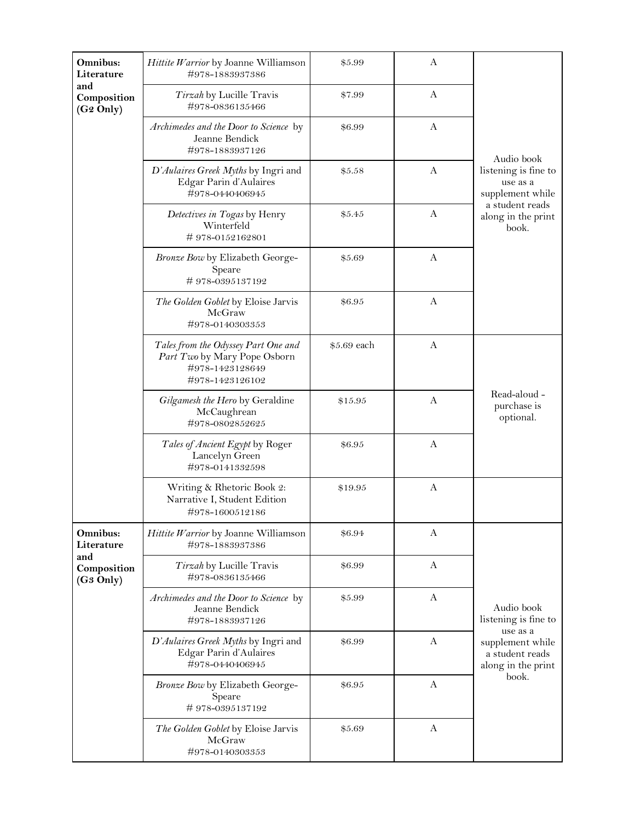| Omnibus:<br>Literature                      | Hittite Warrior by Joanne Williamson<br>#978-1883937386                                                   | \$5.99      | A            |                                                           |
|---------------------------------------------|-----------------------------------------------------------------------------------------------------------|-------------|--------------|-----------------------------------------------------------|
| and<br>Composition<br>(G <sub>2</sub> Only) | Tirzah by Lucille Travis<br>#978-0836135466                                                               | \$7.99      | A            |                                                           |
|                                             | Archimedes and the Door to Science by<br>Jeanne Bendick<br>#978-1883937126                                | \$6.99      | A            | Audio book                                                |
|                                             | D'Aulaires Greek Myths by Ingri and<br>Edgar Parin d'Aulaires<br>#978-0440406945                          | \$5.58      | $\mathbf{A}$ | listening is fine to<br>use as a<br>supplement while      |
|                                             | Detectives in Togas by Henry<br>Winterfeld<br>#978-0152162801                                             | \$5.45      | A            | a student reads<br>along in the print<br>book.            |
|                                             | Bronze Bow by Elizabeth George-<br>Speare<br>#978-0395137192                                              | \$5.69      | $\mathbf{A}$ |                                                           |
|                                             | The Golden Goblet by Eloise Jarvis<br>McGraw<br>#978-0140303353                                           | \$6.95      | $\mathbf{A}$ |                                                           |
|                                             | Tales from the Odyssey Part One and<br>Part Two by Mary Pope Osborn<br>#978-1423128649<br>#978-1423126102 | \$5.69 each | $\mathbf{A}$ |                                                           |
|                                             | Gilgamesh the Hero by Geraldine<br>McCaughrean<br>#978-0802852625                                         | \$15.95     | A            | Read-aloud -<br>purchase is<br>optional.                  |
|                                             | Tales of Ancient Egypt by Roger<br>Lancelyn Green<br>#978-0141332598                                      | \$6.95      | А            |                                                           |
|                                             | Writing & Rhetoric Book 2:<br>Narrative I, Student Edition<br>#978-1600512186                             | \$19.95     | А            |                                                           |
| Omnibus:<br>Literature                      | Hittite Warrior by Joanne Williamson<br>#978-1883937386                                                   | \$6.94      | A            |                                                           |
| and<br>Composition<br>(G <sub>3</sub> Only) | Tirzah by Lucille Travis<br>#978-0836135466                                                               | \$6.99      | A            |                                                           |
|                                             | Archimedes and the Door to Science by<br>Jeanne Bendick<br>#978-1883937126                                | \$5.99      | $\mathbf{A}$ | Audio book<br>listening is fine to<br>use as a            |
|                                             | D'Aulaires Greek Myths by Ingri and<br>Edgar Parin d'Aulaires<br>#978-0440406945                          | \$6.99      | $\mathbf{A}$ | supplement while<br>a student reads<br>along in the print |
|                                             | Bronze Bow by Elizabeth George-<br>Speare<br>#978-0395137192                                              | \$6.95      | $\mathbf{A}$ | book.                                                     |
|                                             | The Golden Goblet by Eloise Jarvis<br>McGraw<br>#978-0140303353                                           | \$5.69      | A            |                                                           |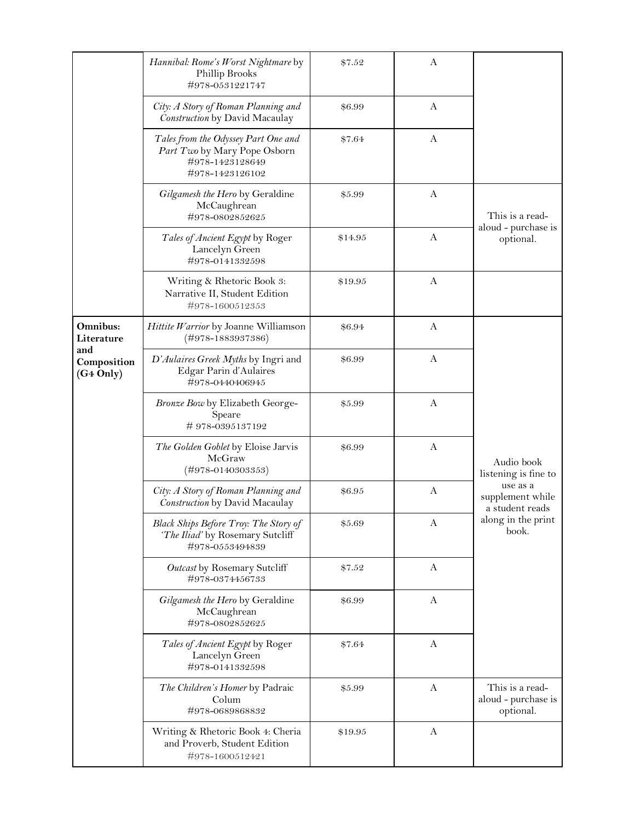|                                             | Hannibal: Rome's Worst Nightmare by<br>Phillip Brooks<br>#978-0531221747                                  | \$7.52  | A            |                                                     |
|---------------------------------------------|-----------------------------------------------------------------------------------------------------------|---------|--------------|-----------------------------------------------------|
|                                             | City: A Story of Roman Planning and<br>Construction by David Macaulay                                     | \$6.99  | A            |                                                     |
|                                             | Tales from the Odyssey Part One and<br>Part Two by Mary Pope Osborn<br>#978-1423128649<br>#978-1423126102 | \$7.64  | A            |                                                     |
|                                             | Gilgamesh the Hero by Geraldine<br>McCaughrean<br>#978-0802852625                                         | \$5.99  | A            | This is a read-                                     |
|                                             | Tales of Ancient Egypt by Roger<br>Lancelyn Green<br>#978-0141332598                                      | \$14.95 | A            | aloud - purchase is<br>optional.                    |
|                                             | Writing & Rhetoric Book 3:<br>Narrative II, Student Edition<br>#978-1600512353                            | \$19.95 | $\mathbf{A}$ |                                                     |
| Omnibus:<br>Literature                      | Hittite Warrior by Joanne Williamson<br>$(\#978 - 1883937386)$                                            | \$6.94  | $\mathbf{A}$ |                                                     |
| and<br>Composition<br>(G <sub>4</sub> Only) | D'Aulaires Greek Myths by Ingri and<br>Edgar Parin d'Aulaires<br>#978-0440406945                          | \$6.99  | A            |                                                     |
|                                             | Bronze Bow by Elizabeth George-<br>Speare<br>#978-0395137192                                              | \$5.99  | A            |                                                     |
|                                             | The Golden Goblet by Eloise Jarvis<br>McGraw<br>$(\#978 - 0140303353)$                                    | \$6.99  | A            | Audio book<br>listening is fine to                  |
|                                             | City: A Story of Roman Planning and<br>Construction by David Macaulay                                     | \$6.95  | A            | use as a<br>supplement while<br>a student reads     |
|                                             | Black Ships Before Troy: The Story of<br>'The Iliad' by Rosemary Sutcliff<br>#978-0553494839              | \$5.69  | A            | along in the print<br>book.                         |
|                                             | Outcast by Rosemary Sutcliff<br>#978-0374456733                                                           | \$7.52  | A            |                                                     |
|                                             | Gilgamesh the Hero by Geraldine<br>McCaughrean<br>#978-0802852625                                         | \$6.99  | A            |                                                     |
|                                             | Tales of Ancient Egypt by Roger<br>Lancelyn Green<br>#978-0141332598                                      | \$7.64  | A            |                                                     |
|                                             | The Children's Homer by Padraic<br>Colum<br>#978-0689868832                                               | \$5.99  | $\mathbf{A}$ | This is a read-<br>aloud - purchase is<br>optional. |
|                                             | Writing & Rhetoric Book 4: Cheria<br>and Proverb, Student Edition<br>#978-1600512421                      | \$19.95 | A            |                                                     |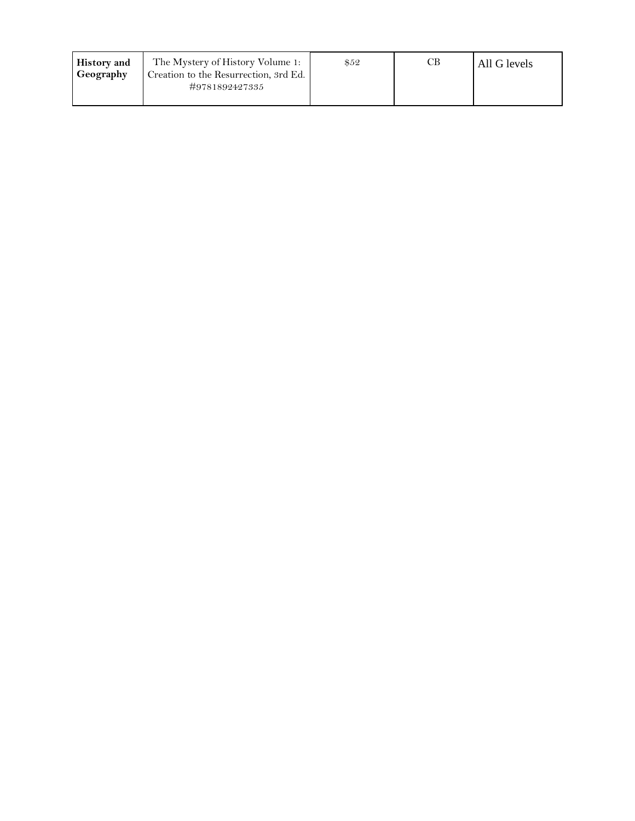| <b>History</b> and | The Mystery of History Volume 1:                        | \$52 | $\mathcal{C}\mathbf{B}^-$ | All G levels |
|--------------------|---------------------------------------------------------|------|---------------------------|--------------|
| Geography          | Creation to the Resurrection, 3rd Ed.<br>#9781892427335 |      |                           |              |
|                    |                                                         |      |                           |              |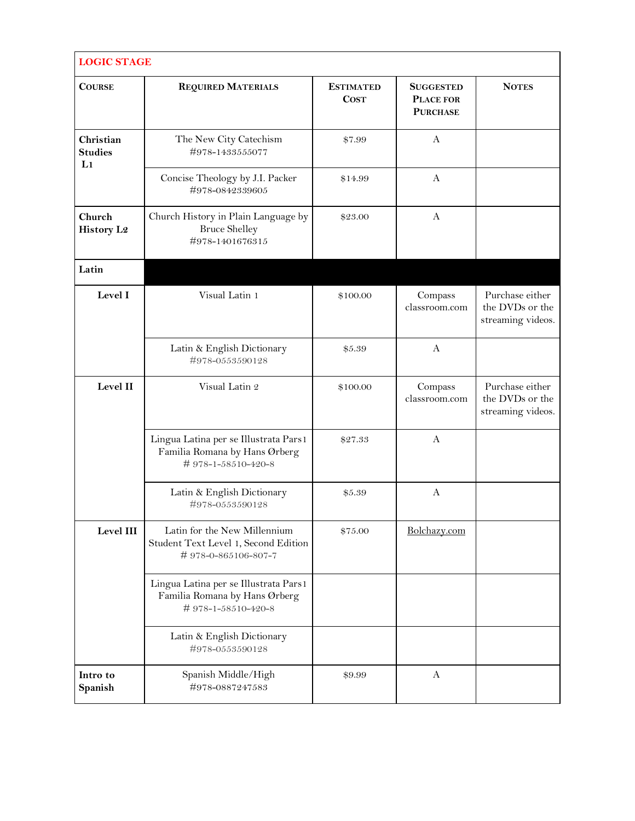| <b>LOGIC STAGE</b>                            |                                                                                              |                                 |                                                  |                                                         |  |
|-----------------------------------------------|----------------------------------------------------------------------------------------------|---------------------------------|--------------------------------------------------|---------------------------------------------------------|--|
| <b>COURSE</b>                                 | <b>REQUIRED MATERIALS</b>                                                                    | <b>ESTIMATED</b><br><b>COST</b> | <b>SUGGESTED</b><br>PLACE FOR<br><b>PURCHASE</b> | <b>NOTES</b>                                            |  |
| Christian<br><b>Studies</b><br>L <sub>1</sub> | The New City Catechism<br>#978-1433555077                                                    | \$7.99                          | A                                                |                                                         |  |
|                                               | Concise Theology by J.I. Packer<br>#978-0842339605                                           | \$14.99                         | A                                                |                                                         |  |
| Church<br><b>History L2</b>                   | Church History in Plain Language by<br><b>Bruce Shelley</b><br>#978-1401676315               | \$23.00                         | A                                                |                                                         |  |
| Latin                                         |                                                                                              |                                 |                                                  |                                                         |  |
| Level I                                       | Visual Latin 1                                                                               | \$100.00                        | Compass<br>classroom.com                         | Purchase either<br>the DVDs or the<br>streaming videos. |  |
|                                               | Latin & English Dictionary<br>#978-0553590128                                                | \$5.39                          | A                                                |                                                         |  |
| Level II                                      | Visual Latin 2                                                                               | \$100.00                        | Compass<br>classroom.com                         | Purchase either<br>the DVDs or the<br>streaming videos. |  |
|                                               | Lingua Latina per se Illustrata Pars1<br>Familia Romana by Hans Ørberg<br>#978-1-58510-420-8 | \$27.33                         | A                                                |                                                         |  |
|                                               | Latin & English Dictionary<br>#978-0553590128                                                | \$5.39                          | A                                                |                                                         |  |
| Level III                                     | Latin for the New Millennium<br>Student Text Level 1, Second Edition<br>#978-0-865106-807-7  | \$75.00                         | Bolchazy.com                                     |                                                         |  |
|                                               | Lingua Latina per se Illustrata Pars1<br>Familia Romana by Hans Ørberg<br>#978-1-58510-420-8 |                                 |                                                  |                                                         |  |
|                                               | Latin & English Dictionary<br>#978-0553590128                                                |                                 |                                                  |                                                         |  |
| Intro to<br>Spanish                           | Spanish Middle/High<br>#978-0887247583                                                       | \$9.99                          | A                                                |                                                         |  |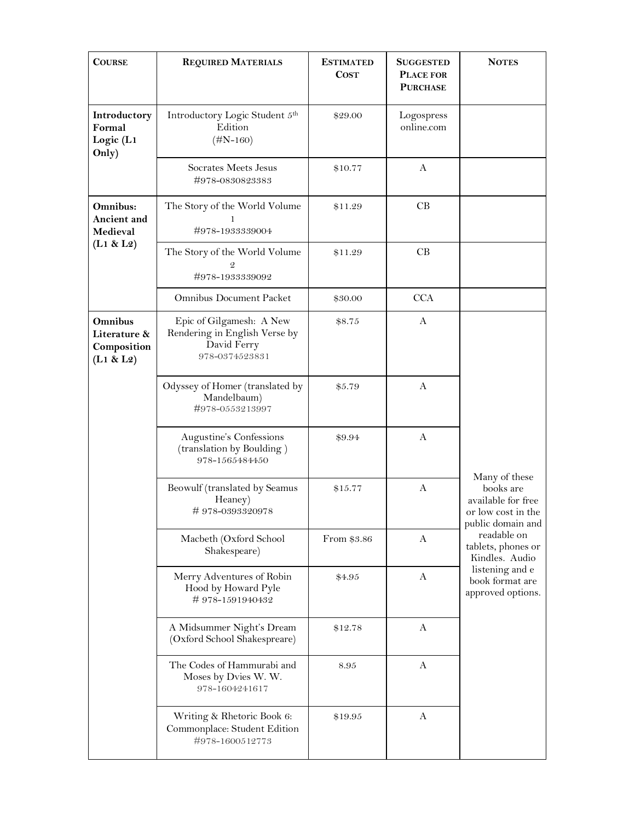| <b>COURSE</b>                                       | <b>REQUIRED MATERIALS</b>                                                                  | <b>ESTIMATED</b><br><b>COST</b> | <b>SUGGESTED</b><br><b>PLACE FOR</b><br><b>PURCHASE</b> | <b>NOTES</b>                                                                                                                                                                                                  |
|-----------------------------------------------------|--------------------------------------------------------------------------------------------|---------------------------------|---------------------------------------------------------|---------------------------------------------------------------------------------------------------------------------------------------------------------------------------------------------------------------|
| Introductory<br>Formal<br>Logic (L1<br>Only)        | Introductory Logic Student 5th<br>Edition<br>$(\#N-160)$                                   | \$29.00                         | Logospress<br>online.com                                |                                                                                                                                                                                                               |
|                                                     | Socrates Meets Jesus<br>#978-0830823383                                                    | \$10.77                         | A                                                       |                                                                                                                                                                                                               |
| Omnibus:<br>Ancient and<br>Medieval                 | The Story of the World Volume<br>1<br>#978-1933339004                                      | \$11.29                         | CB                                                      |                                                                                                                                                                                                               |
| (L1 & L2)                                           | The Story of the World Volume<br>#978-1933339092                                           | \$11.29                         | CB                                                      |                                                                                                                                                                                                               |
|                                                     | <b>Omnibus Document Packet</b>                                                             | \$30.00                         | <b>CCA</b>                                              |                                                                                                                                                                                                               |
| Omnibus<br>Literature &<br>Composition<br>(L1 & L2) | Epic of Gilgamesh: A New<br>Rendering in English Verse by<br>David Ferry<br>978-0374523831 | \$8.75                          | A                                                       |                                                                                                                                                                                                               |
|                                                     | Odyssey of Homer (translated by<br>Mandelbaum)<br>#978-0553213997                          | \$5.79                          | A                                                       |                                                                                                                                                                                                               |
|                                                     | Augustine's Confessions<br>(translation by Boulding)<br>978-1565484450                     | \$9.94                          | A                                                       |                                                                                                                                                                                                               |
|                                                     | Beowulf (translated by Seamus<br>Heaney)<br>#978-0393320978                                | \$15.77                         | A                                                       | Many of these<br>books are<br>available for free<br>or low cost in the<br>public domain and<br>readable on<br>tablets, phones or<br>Kindles. Audio<br>listening and e<br>book format are<br>approved options. |
|                                                     | Macbeth (Oxford School<br>Shakespeare)                                                     | From \$3.86                     | A                                                       |                                                                                                                                                                                                               |
|                                                     | Merry Adventures of Robin<br>Hood by Howard Pyle<br>#978-1591940432                        | \$4.95                          | A                                                       |                                                                                                                                                                                                               |
|                                                     | A Midsummer Night's Dream<br>(Oxford School Shakespreare)                                  | \$12.78                         | A                                                       |                                                                                                                                                                                                               |
|                                                     | The Codes of Hammurabi and<br>Moses by Dvies W. W.<br>978-1604241617                       | 8.95                            | A                                                       |                                                                                                                                                                                                               |
|                                                     | Writing & Rhetoric Book 6:<br>Commonplace: Student Edition<br>#978-1600512773              | \$19.95                         | A                                                       |                                                                                                                                                                                                               |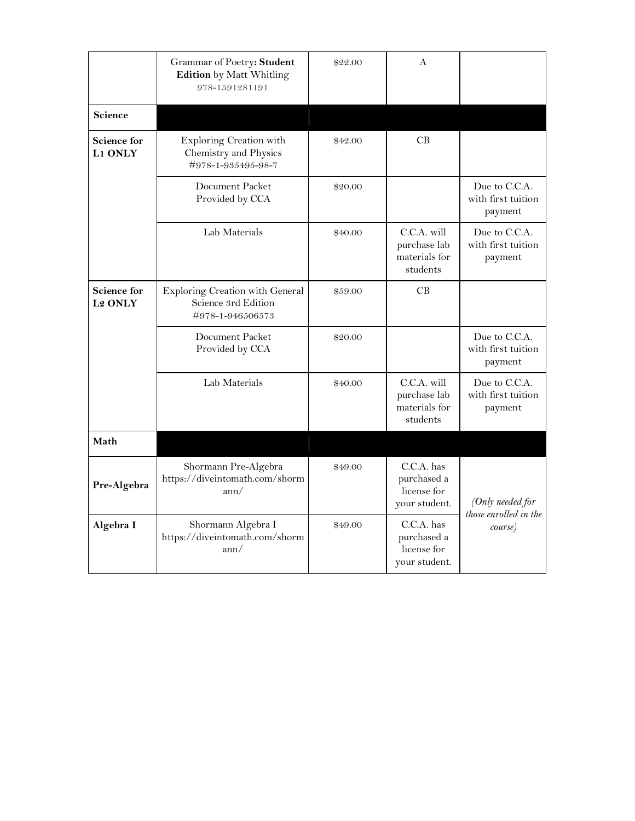|                                      | Grammar of Poetry: Student<br><b>Edition</b> by Matt Whitling<br>978-1591281191 | \$22.00 | A                                                           |                                                |
|--------------------------------------|---------------------------------------------------------------------------------|---------|-------------------------------------------------------------|------------------------------------------------|
| Science                              |                                                                                 |         |                                                             |                                                |
| <b>Science for</b><br>L1 ONLY        | Exploring Creation with<br>Chemistry and Physics<br>#978-1-935495-98-7          | \$42.00 | CB                                                          |                                                |
|                                      | Document Packet<br>Provided by CCA                                              | \$20.00 |                                                             | Due to C.C.A.<br>with first tuition<br>payment |
|                                      | Lab Materials                                                                   | \$40.00 | C.C.A. will<br>purchase lab<br>materials for<br>students    | Due to C.C.A.<br>with first tuition<br>payment |
| <b>Science for</b><br><b>L2 ONLY</b> | Exploring Creation with General<br>Science 3rd Edition<br>#978-1-946506573      | \$59.00 | CB                                                          |                                                |
|                                      | Document Packet<br>Provided by CCA                                              | \$20.00 |                                                             | Due to C.C.A.<br>with first tuition<br>payment |
|                                      | Lab Materials                                                                   | \$40.00 | C.C.A. will<br>purchase lab<br>materials for<br>students    | Due to C.C.A.<br>with first tuition<br>payment |
| Math                                 |                                                                                 |         |                                                             |                                                |
| Pre-Algebra                          | Shormann Pre-Algebra<br>https://diveintomath.com/shorm<br>ann/                  | \$49.00 | $C.C.A.$ has<br>purchased a<br>license for<br>your student. | (Only needed for<br>those enrolled in the      |
| Algebra I                            | Shormann Algebra I<br>https://diveintomath.com/shorm<br>ann/                    | \$49.00 | C.C.A. has<br>purchased a<br>license for<br>your student.   | course)                                        |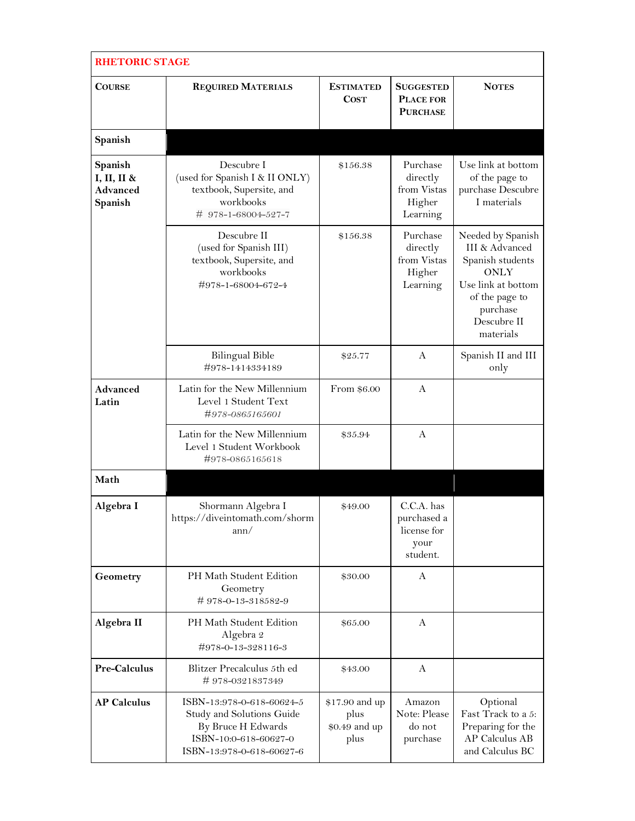|                                               | <b>RHETORIC STAGE</b>                                                                                                              |                                                 |                                                              |                                                                                                                                                        |  |  |
|-----------------------------------------------|------------------------------------------------------------------------------------------------------------------------------------|-------------------------------------------------|--------------------------------------------------------------|--------------------------------------------------------------------------------------------------------------------------------------------------------|--|--|
| <b>COURSE</b>                                 | <b>REQUIRED MATERIALS</b>                                                                                                          | <b>ESTIMATED</b><br><b>COST</b>                 | <b>SUGGESTED</b><br>PLACE FOR<br><b>PURCHASE</b>             | <b>NOTES</b>                                                                                                                                           |  |  |
| Spanish                                       |                                                                                                                                    |                                                 |                                                              |                                                                                                                                                        |  |  |
| Spanish<br>I, II, II &<br>Advanced<br>Spanish | Descubre I<br>(used for Spanish I & II ONLY)<br>textbook, Supersite, and<br>workbooks<br># 978-1-68004-527-7                       | \$156.38                                        | Purchase<br>directly<br>from Vistas<br>Higher<br>Learning    | Use link at bottom<br>of the page to<br>purchase Descubre<br>I materials                                                                               |  |  |
|                                               | Descubre II<br>(used for Spanish III)<br>textbook, Supersite, and<br>workbooks<br>#978-1-68004-672-4                               | \$156.38                                        | Purchase<br>directly<br>from Vistas<br>Higher<br>Learning    | Needed by Spanish<br>III & Advanced<br>Spanish students<br><b>ONLY</b><br>Use link at bottom<br>of the page to<br>purchase<br>Descubre II<br>materials |  |  |
|                                               | <b>Bilingual Bible</b><br>#978-1414334189                                                                                          | \$25.77                                         | A                                                            | Spanish II and III<br>only                                                                                                                             |  |  |
| Advanced<br>Latin                             | Latin for the New Millennium<br>Level 1 Student Text<br>#978-0865165601                                                            | From \$6.00                                     | A                                                            |                                                                                                                                                        |  |  |
|                                               | Latin for the New Millennium<br>Level 1 Student Workbook<br>#978-0865165618                                                        | \$35.94                                         | A                                                            |                                                                                                                                                        |  |  |
| Math                                          |                                                                                                                                    |                                                 |                                                              |                                                                                                                                                        |  |  |
| Algebra I                                     | Shormann Algebra I<br>https://diveintomath.com/shorm<br>ann/                                                                       | \$49.00                                         | C.C.A. has<br>purchased a<br>license for<br>your<br>student. |                                                                                                                                                        |  |  |
| Geometry                                      | PH Math Student Edition<br>Geometry<br>#978-0-13-318582-9                                                                          | \$30.00                                         | $\mathsf{A}$                                                 |                                                                                                                                                        |  |  |
| Algebra II                                    | PH Math Student Edition<br>Algebra 2<br>#978-0-13-328116-3                                                                         | \$65.00                                         | A                                                            |                                                                                                                                                        |  |  |
| Pre-Calculus                                  | Blitzer Precalculus 5th ed<br>#978-0321837349                                                                                      | \$43.00                                         | A                                                            |                                                                                                                                                        |  |  |
| <b>AP Calculus</b>                            | ISBN-13:978-0-618-60624-5<br>Study and Solutions Guide<br>By Bruce H Edwards<br>ISBN-10:0-618-60627-0<br>ISBN-13:978-0-618-60627-6 | \$17.90 and up<br>plus<br>\$0.49 and up<br>plus | Amazon<br>Note: Please<br>do not<br>purchase                 | Optional<br>Fast Track to a 5:<br>Preparing for the<br><b>AP Calculus AB</b><br>and Calculus BC                                                        |  |  |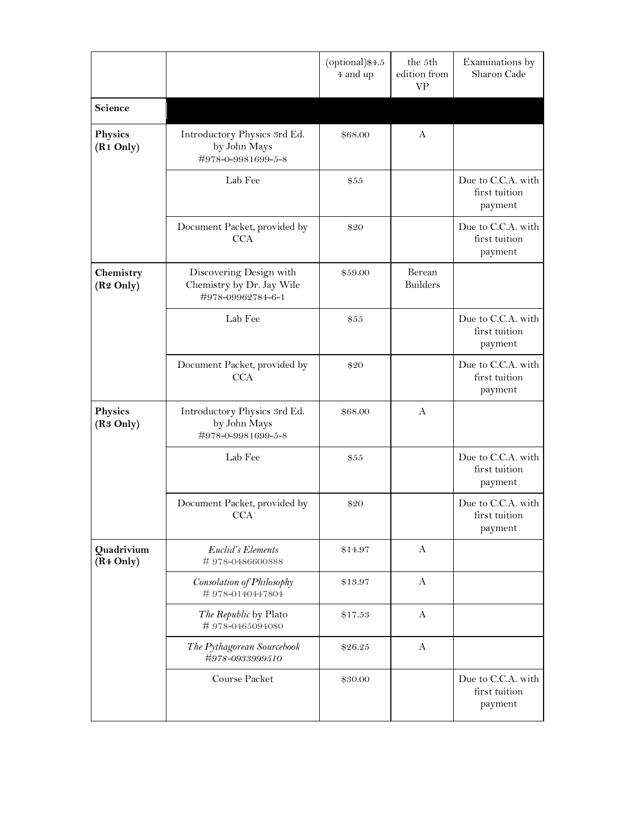|                                     |                                                                           | (optional)\$4.5<br>4 and up | the 5th<br>edition from<br><b>VP</b> | Examinations by<br>Sharon Cade                 |
|-------------------------------------|---------------------------------------------------------------------------|-----------------------------|--------------------------------------|------------------------------------------------|
| Science                             |                                                                           |                             |                                      |                                                |
| Physics<br>(R <sub>1</sub> Only)    | Introductory Physics 3rd Ed.<br>by John Mays<br>#978-0-9981699-5-8        | \$68.00                     | A                                    |                                                |
|                                     | Lab Fee                                                                   | \$55                        |                                      | Due to C.C.A. with<br>first tuition<br>payment |
|                                     | Document Packet, provided by<br><b>CCA</b>                                | \$20                        |                                      | Due to C.C.A. with<br>first tuition<br>payment |
| Chemistry<br>(R <sub>2</sub> Only)  | Discovering Design with<br>Chemistry by Dr. Jay Wile<br>#978-09962784-6-1 | \$59.00                     | Berean<br><b>Builders</b>            |                                                |
|                                     | Lab Fee                                                                   | \$55                        |                                      | Due to C.C.A. with<br>first tuition<br>payment |
|                                     | Document Packet, provided by<br><b>CCA</b>                                | \$20                        |                                      | Due to C.C.A. with<br>first tuition<br>payment |
| Physics<br>(R <sub>3</sub> Only)    | Introductory Physics 3rd Ed.<br>by John Mays<br>#978-0-9981699-5-8        | \$68.00                     | A                                    |                                                |
|                                     | Lab Fee                                                                   | \$55                        |                                      | Due to C.C.A. with<br>first tuition<br>payment |
|                                     | Document Packet, provided by<br>CCA                                       | \$20                        |                                      | Due to C.C.A. with<br>first tuition<br>payment |
| Quadrivium<br>(R <sub>4</sub> Only) | Euclid's Elements<br>#978-0486600888                                      | \$14.97                     | A                                    |                                                |
|                                     | Consolation of Philosophy<br>#978-0140447804                              | \$13.97                     | A                                    |                                                |
|                                     | The Republic by Plato<br>#978-0465094080                                  | \$17.53                     | A                                    |                                                |
|                                     | The Pythagorean Sourcebook<br>#978-0933999510                             | \$26.25                     | A                                    |                                                |
|                                     | Course Packet                                                             | \$30.00                     |                                      | Due to C.C.A. with<br>first tuition<br>payment |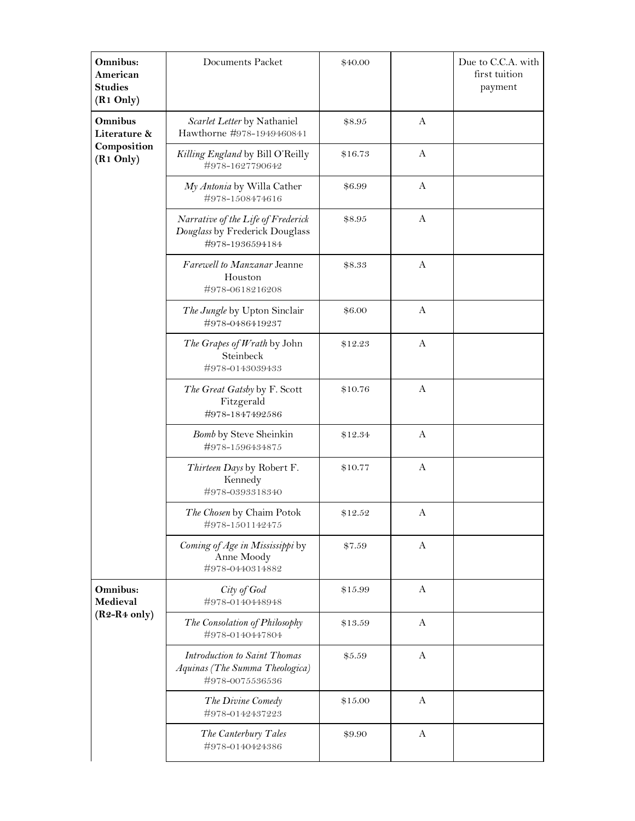| Omnibus:<br>American<br><b>Studies</b><br>(R <sub>1</sub> Only) | Documents Packet                                                                        | \$40.00 |              | Due to C.C.A. with<br>first tuition<br>payment |
|-----------------------------------------------------------------|-----------------------------------------------------------------------------------------|---------|--------------|------------------------------------------------|
| Omnibus<br>Literature &<br>Composition<br>(R <sub>1</sub> Only) | Scarlet Letter by Nathaniel<br>Hawthorne #978-1949460841                                | \$8.95  | $\mathbf{A}$ |                                                |
|                                                                 | Killing England by Bill O'Reilly<br>#978-1627790642                                     | \$16.73 | A            |                                                |
|                                                                 | My Antonia by Willa Cather<br>#978-1508474616                                           | \$6.99  | $\mathbf{A}$ |                                                |
|                                                                 | Narrative of the Life of Frederick<br>Douglass by Frederick Douglass<br>#978-1936594184 | \$8.95  | $\mathbf{A}$ |                                                |
|                                                                 | Farewell to Manzanar Jeanne<br>Houston<br>#978-0618216208                               | \$8.33  | A            |                                                |
|                                                                 | The Jungle by Upton Sinclair<br>#978-0486419237                                         | \$6.00  | $\mathbf{A}$ |                                                |
|                                                                 | The Grapes of Wrath by John<br>Steinbeck<br>#978-0143039433                             | \$12.23 | $\mathbf{A}$ |                                                |
|                                                                 | The Great Gatsby by F. Scott<br>Fitzgerald<br>#978-1847492586                           | \$10.76 | A            |                                                |
|                                                                 | Bomb by Steve Sheinkin<br>#978-1596434875                                               | \$12.34 | $\mathbf{A}$ |                                                |
|                                                                 | Thirteen Days by Robert F.<br>Kennedy<br>#978-0393318340                                | \$10.77 | $\mathbf{A}$ |                                                |
|                                                                 | The Chosen by Chaim Potok<br>#978-1501142475                                            | \$12.52 | A            |                                                |
|                                                                 | Coming of Age in Mississippi by<br>Anne Moody<br>#978-0440314882                        | \$7.59  | A            |                                                |
| Omnibus:<br>Medieval<br>$(R2-R4 \text{ only})$                  | City of God<br>#978-0140448948                                                          | \$15.99 | A            |                                                |
|                                                                 | The Consolation of Philosophy<br>#978-0140447804                                        | \$13.59 | A            |                                                |
|                                                                 | Introduction to Saint Thomas<br>Aquinas (The Summa Theologica)<br>#978-0075536536       | \$5.59  | $\mathbf{A}$ |                                                |
|                                                                 | The Divine Comedy<br>#978-0142437223                                                    | \$15.00 | A            |                                                |
|                                                                 | The Canterbury Tales<br>#978-0140424386                                                 | \$9.90  | A            |                                                |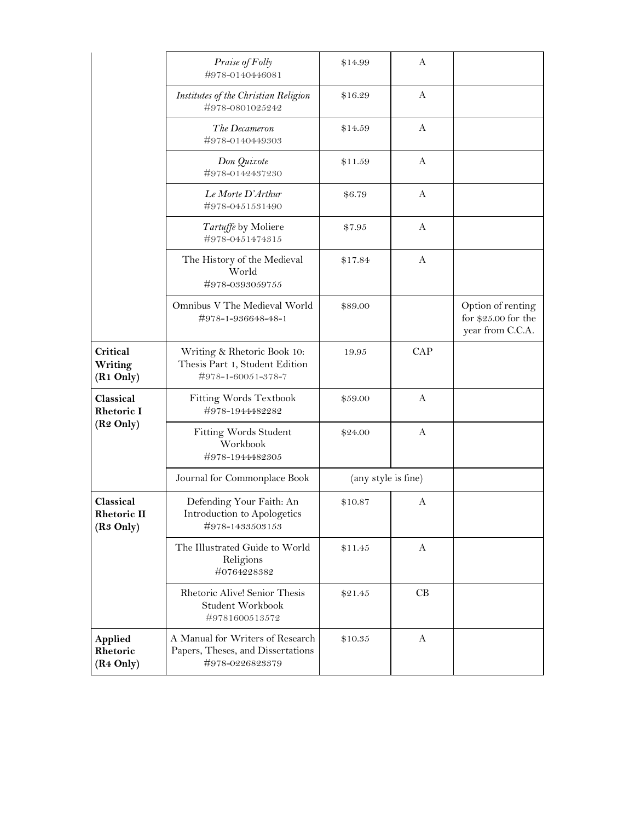|                                                         | Praise of Folly<br>#978-0140446081                                                       | \$14.99             | A            |                                                               |
|---------------------------------------------------------|------------------------------------------------------------------------------------------|---------------------|--------------|---------------------------------------------------------------|
|                                                         | Institutes of the Christian Religion<br>#978-0801025242                                  | \$16.29             | $\mathbf{A}$ |                                                               |
|                                                         | The Decameron<br>#978-0140449303                                                         | \$14.59             | A            |                                                               |
|                                                         | Don Quixote<br>#978-0142437230                                                           | \$11.59             | A            |                                                               |
|                                                         | Le Morte D'Arthur<br>#978-0451531490                                                     | \$6.79              | $\mathbf{A}$ |                                                               |
|                                                         | Tartuffe by Moliere<br>#978-0451474315                                                   | \$7.95              | A            |                                                               |
|                                                         | The History of the Medieval<br>World<br>#978-0393059755                                  | \$17.84             | A            |                                                               |
|                                                         | Omnibus V The Medieval World<br>#978-1-936648-48-1                                       | \$89.00             |              | Option of renting<br>for $$25.00$ for the<br>year from C.C.A. |
| Critical<br>Writing<br>(R <sub>1</sub> Only)            | Writing & Rhetoric Book 10:<br>Thesis Part 1, Student Edition<br>#978-1-60051-378-7      | 19.95               | CAP          |                                                               |
| Classical<br><b>Rhetoric I</b><br>(R <sub>2</sub> Only) | Fitting Words Textbook<br>#978-1944482282                                                | \$59.00             | A            |                                                               |
|                                                         | Fitting Words Student<br>Workbook<br>#978-1944482305                                     | \$24.00             | A            |                                                               |
|                                                         | Journal for Commonplace Book                                                             | (any style is fine) |              |                                                               |
| Classical<br>Rhetoric II<br>(R <sub>3</sub> Only)       | Defending Your Faith: An<br>Introduction to Apologetics<br>#978-1433503153               | \$10.87             | A            |                                                               |
|                                                         | The Illustrated Guide to World<br>Religions<br>#0764228382                               | \$11.45             | $\mathbf{A}$ |                                                               |
|                                                         | Rhetoric Alive! Senior Thesis<br>Student Workbook<br>#9781600513572                      | \$21.45             | CB           |                                                               |
| Applied<br>Rhetoric<br>(R <sub>4</sub> Only)            | A Manual for Writers of Research<br>Papers, Theses, and Dissertations<br>#978-0226823379 | \$10.35             | A            |                                                               |